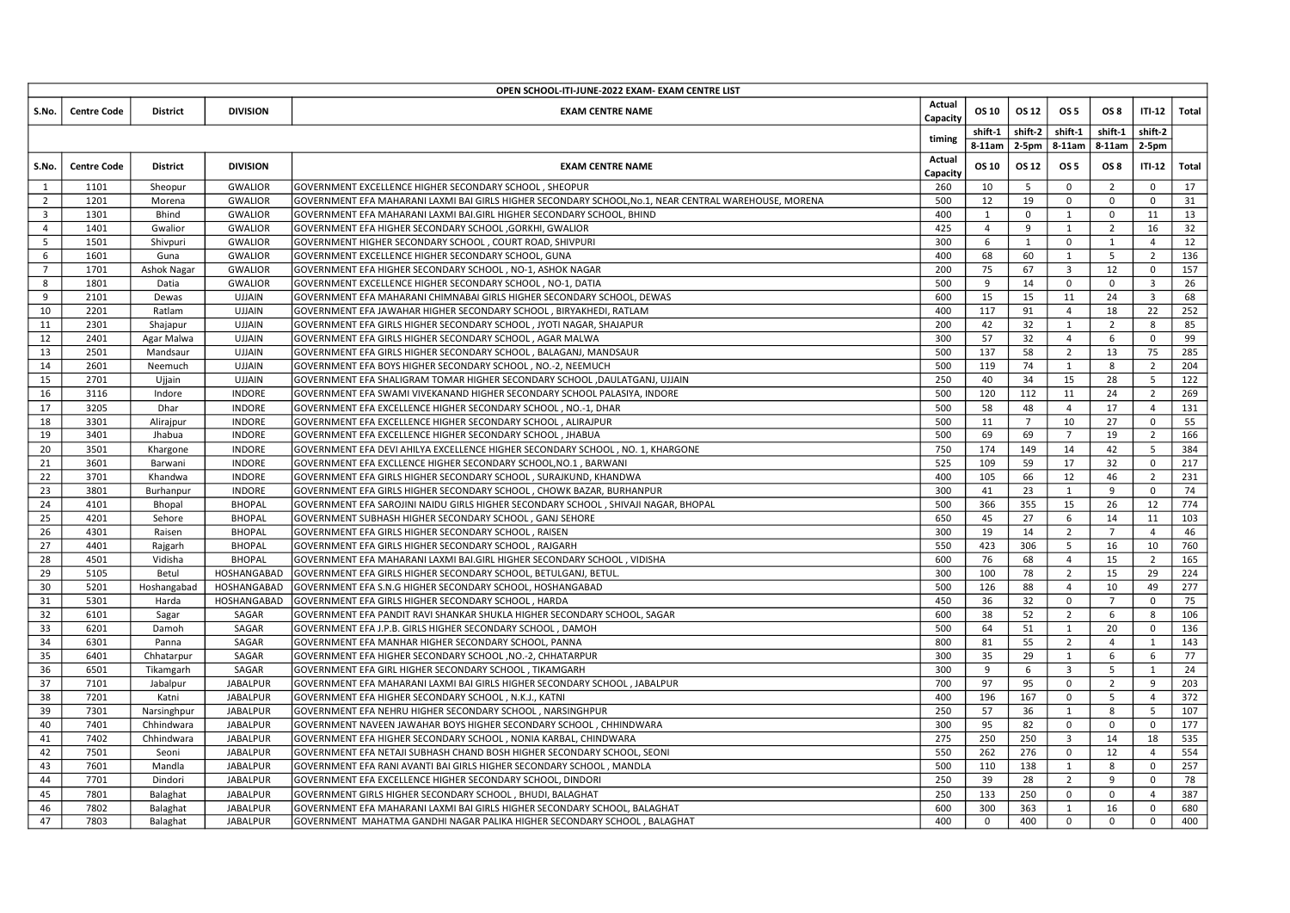|                                           | OPEN SCHOOL-ITI-JUNE-2022 EXAM- EXAM CENTRE LIST<br>Actual |                        |                                   |                                                                                                                                                         |                  |                     |                       |                                           |                                  |                                           |            |
|-------------------------------------------|------------------------------------------------------------|------------------------|-----------------------------------|---------------------------------------------------------------------------------------------------------------------------------------------------------|------------------|---------------------|-----------------------|-------------------------------------------|----------------------------------|-------------------------------------------|------------|
| S.No.                                     | Centre Code                                                | District               | <b>DIVISION</b>                   | <b>EXAM CENTRE NAME</b>                                                                                                                                 | Capacity         | OS 10<br>shift-1    | OS 12                 | OS 5<br>  shift-2   shift-1               | OS 8                             | ITI-12   Total<br>$shift-1$ shift-2       |            |
|                                           |                                                            |                        |                                   |                                                                                                                                                         | timing<br>Actual |                     |                       | 8-11am   2-5pm   8-11am   8-11am   2-5pm  |                                  |                                           |            |
| S.No.<br>1                                | <b>Centre Code</b><br>1101                                 | District<br>Sheopur    | <b>DIVISION</b><br><b>GWALIOR</b> | <b>EXAM CENTRE NAME</b><br>GOVERNMENT EXCELLENCE HIGHER SECONDARY SCHOOL, SHEOPUR                                                                       | Capacity<br>260  | OS 10<br>10         | OS 12<br>5            | OS 5<br>$\mathbf 0$                       | OS 8<br>$\overline{2}$           | $ITI-12$ Total<br>$\mathbf 0$             | 17         |
| 2                                         | 1201                                                       | Morena                 | <b>GWALIOR</b>                    | GOVERNMENT EFA MAHARANI LAXMI BAI GIRLS HIGHER SECONDARY SCHOOL,No.1, NEAR CENTRAL WAREHOUSE, MORENA                                                    | 500              | 12                  | 19                    | $\mathbf{0}$                              | $\mathbf 0$                      | $\mathbf 0$                               | 31         |
| $\overline{\mathbf{3}}$<br>$\overline{4}$ | 1301<br>1401                                               | Bhind                  | <b>GWALIOR</b><br><b>GWALIOR</b>  | GOVERNMENT EFA MAHARANI LAXMI BAI.GIRL HIGHER SECONDARY SCHOOL, BHIND<br>GOVERNMENT EFA HIGHER SECONDARY SCHOOL ,GORKHI, GWALIOR                        | 400<br>425       | 1<br>$\overline{4}$ | $\mathbf{0}$<br>9     | 1<br>1                                    | $\overline{0}$<br>$\overline{2}$ | 11<br>16                                  | 13<br>32   |
| 5 <sup>5</sup>                            | 1501                                                       | Gwalior<br>Shivpuri    | <b>GWALIOR</b>                    | GOVERNMENT HIGHER SECONDARY SCHOOL, COURT ROAD, SHIVPURI                                                                                                | 300              | 6                   | 1                     | $\mathbf 0$                               | 1                                | $\overline{4}$                            | 12         |
| 6                                         | 1601                                                       | Guna                   | <b>GWALIOR</b>                    | GOVERNMENT EXCELLENCE HIGHER SECONDARY SCHOOL, GUNA                                                                                                     | 400              | 68                  | 60                    | 1                                         | 5                                | $\overline{2}$                            | 136        |
| $7^{\circ}$<br>8                          | 1701<br>1801                                               | Ashok Nagar<br>Datia   | <b>GWALIOR</b><br><b>GWALIOR</b>  | GOVERNMENT EFA HIGHER SECONDARY SCHOOL, NO-1, ASHOK NAGAR<br>GOVERNMENT EXCELLENCE HIGHER SECONDARY SCHOOL, NO-1, DATIA                                 | 200<br>500       | 75<br>9             | 67<br>14              | $\overline{\mathbf{3}}$<br>$\mathbf{0}$   | 12<br>$\overline{0}$             | $\overline{0}$<br>$\overline{\mathbf{3}}$ | 157<br>26  |
| 9                                         | 2101                                                       | Dewas                  | <b>UJJAIN</b>                     | GOVERNMENT EFA MAHARANI CHIMNABAI GIRLS HIGHER SECONDARY SCHOOL, DEWAS                                                                                  | 600              | 15                  | 15                    | 11                                        | 24                               | $\overline{\mathbf{3}}$                   | 68         |
| 10                                        | 2201                                                       | Ratlam                 | UJJAIN                            | GOVERNMENT EFA JAWAHAR HIGHER SECONDARY SCHOOL, BIRYAKHEDI, RATLAM                                                                                      | 400              | 117                 | 91                    | $\overline{4}$                            | 18                               | 22                                        | 252        |
| 11<br>12                                  | 2301<br>2401                                               | Shajapur<br>Agar Malwa | <b>UJJAIN</b><br><b>UJJAIN</b>    | GOVERNMENT EFA GIRLS HIGHER SECONDARY SCHOOL, JYOTI NAGAR, SHAJAPUR<br>GOVERNMENT EFA GIRLS HIGHER SECONDARY SCHOOL, AGAR MALWA                         | 200<br>300       | 42<br>57            | 32<br>32              | $\mathbf{1}$<br>$\overline{4}$            | $\overline{2}$<br>6              | 8<br>$\overline{0}$                       | 85<br>99   |
| 13                                        | 2501                                                       | Mandsaur               | UJJAIN                            | GOVERNMENT EFA GIRLS HIGHER SECONDARY SCHOOL, BALAGANJ, MANDSAUR                                                                                        | 500              | 137                 | 58                    | $\overline{2}$                            | 13                               | 75                                        | 285        |
| 14                                        | 2601                                                       | Neemuch                | <b>UJJAIN</b>                     | GOVERNMENT EFA BOYS HIGHER SECONDARY SCHOOL, NO.-2, NEEMUCH                                                                                             | 500              | 119                 | 74                    | $\mathbf{1}$                              | 8                                | $\overline{2}$                            | 204        |
| 15<br>16                                  | 2701<br>3116                                               | Ujjain<br>Indore       | <b>UJJAIN</b><br><b>INDORE</b>    | GOVERNMENT EFA SHALIGRAM TOMAR HIGHER SECONDARY SCHOOL , DAULATGANJ, UJJAIN<br>GOVERNMENT EFA SWAMI VIVEKANAND HIGHER SECONDARY SCHOOL PALASIYA, INDORE | 250<br>500       | 40<br>120           | 34<br>112             | 15<br>11                                  | 28<br>24                         | 5 <sup>5</sup><br>$\overline{2}$          | 122<br>269 |
| 17                                        | 3205                                                       | Dhar                   | <b>INDORE</b>                     | GOVERNMENT EFA EXCELLENCE HIGHER SECONDARY SCHOOL, NO.-1, DHAR                                                                                          | 500              | 58                  | 48                    | $\overline{4}$                            | 17                               | $\overline{4}$                            | 131        |
| 18<br>19                                  | 3301<br>3401                                               | Alirajpur<br>Jhabua    | INDORE<br><b>INDORE</b>           | GOVERNMENT EFA EXCELLENCE HIGHER SECONDARY SCHOOL, ALIRAJPUR<br>GOVERNMENT EFA EXCELLENCE HIGHER SECONDARY SCHOOL, JHABUA                               | 500<br>500       | 11<br>69            | $7\overline{ }$<br>69 | 10<br>$\overline{7}$                      | 27<br>19                         | $\overline{0}$<br>$\overline{2}$          | 55<br>166  |
| 20                                        | 3501                                                       | Khargone               | <b>INDORE</b>                     | GOVERNMENT EFA DEVI AHILYA EXCELLENCE HIGHER SECONDARY SCHOOL, NO. 1, KHARGONE                                                                          | 750              | 174                 | 149                   | 14                                        | 42                               | 5 <sup>5</sup>                            | 384        |
| 21                                        | 3601                                                       | Barwani                | INDORE                            | GOVERNMENT EFA EXCLLENCE HIGHER SECONDARY SCHOOL, NO.1, BARWANI                                                                                         | 525              | 109                 | 59                    | 17                                        | 32                               | $\overline{0}$                            | 217        |
| 22<br>23                                  | 3701<br>3801                                               | Khandwa<br>Burhanpur   | <b>INDORE</b><br>INDORE           | GOVERNMENT EFA GIRLS HIGHER SECONDARY SCHOOL , SURAJKUND, KHANDWA<br>GOVERNMENT EFA GIRLS HIGHER SECONDARY SCHOOL , CHOWK BAZAR, BURHANPUR              | 400<br>300       | 105<br>41           | 66<br>23              | 12<br>$\mathbf{1}$                        | 46<br>9                          | $\overline{2}$<br>$\overline{0}$          | 231<br>74  |
| 24                                        | 4101                                                       | Bhopal                 | <b>BHOPAL</b>                     | GOVERNMENT EFA SAROJINI NAIDU GIRLS HIGHER SECONDARY SCHOOL , SHIVAJI NAGAR, BHOPAL                                                                     | 500              | 366                 | 355                   | 15                                        | 26                               | 12                                        | 774        |
| 25                                        | 4201                                                       | Sehore                 | <b>BHOPAL</b>                     | GOVERNMENT SUBHASH HIGHER SECONDARY SCHOOL, GANJ SEHORE                                                                                                 | 650              | 45                  | 27                    | 6                                         | 14                               | 11                                        | 103        |
| 26<br>27                                  | 4301<br>4401                                               | Raisen<br>Rajgarh      | BHOPAL<br><b>BHOPAL</b>           | GOVERNMENT EFA GIRLS HIGHER SECONDARY SCHOOL, RAISEN<br>GOVERNMENT EFA GIRLS HIGHER SECONDARY SCHOOL, RAJGARH                                           | 300<br>550       | 19<br>423           | 14<br>306             | $\overline{2}$<br>5                       | $\overline{7}$<br>16             | $\overline{4}$<br>10                      | 46<br>760  |
| 28                                        | 4501                                                       | Vidisha                | BHOPAL                            | GOVERNMENT EFA MAHARANI LAXMI BAI.GIRL HIGHER SECONDARY SCHOOL, VIDISHA                                                                                 | 600              | 76                  | 68                    | $\overline{4}$                            | 15                               | $\overline{2}$                            | 165        |
| 29                                        | 5105                                                       | Betul                  | HOSHANGABAD                       | GOVERNMENT EFA GIRLS HIGHER SECONDARY SCHOOL, BETULGANJ, BETUL.                                                                                         | 300              | 100                 | 78                    | $\overline{2}$                            | 15                               | 29                                        | 224        |
| 30<br>31                                  | 5201<br>5301                                               | Hoshangabad<br>Harda   | HOSHANGABAD<br>HOSHANGABAD        | GOVERNMENT EFA S.N.G HIGHER SECONDARY SCHOOL, HOSHANGABAD<br>GOVERNMENT EFA GIRLS HIGHER SECONDARY SCHOOL, HARDA                                        | 500<br>450       | 126<br>36           | 88<br>32              | $\overline{4}$<br>$\overline{0}$          | 10<br>$\overline{7}$             | 49<br>$\overline{0}$                      | 277<br>75  |
| 32                                        | 6101                                                       | Sagar                  | SAGAR                             | GOVERNMENT EFA PANDIT RAVI SHANKAR SHUKLA HIGHER SECONDARY SCHOOL, SAGAR                                                                                | 600              | 38                  | 52                    | $\overline{2}$                            | 6                                | 8                                         | 106        |
| 33<br>34                                  | 6201<br>6301                                               | Damoh<br>Panna         | SAGAR<br>SAGAR                    | GOVERNMENT EFA J.P.B. GIRLS HIGHER SECONDARY SCHOOL, DAMOH<br>GOVERNMENT EFA MANHAR HIGHER SECONDARY SCHOOL, PANNA                                      | 500<br>800       | 64<br>81            | 51<br>55              | 1<br>$\overline{2}$                       | 20<br>$\overline{4}$             | $\overline{0}$<br>$\mathbf{1}$            | 136<br>143 |
| 35                                        | 6401                                                       | Chhatarpur             | SAGAR                             | GOVERNMENT EFA HIGHER SECONDARY SCHOOL , NO.-2, CHHATARPUR                                                                                              | 300              | 35                  | 29                    | $\mathbf{1}$                              | 6                                | 6                                         | 77         |
| 36                                        | 6501                                                       | Tikamgarh              | SAGAR                             | GOVERNMENT EFA GIRL HIGHER SECONDARY SCHOOL, TIKAMGARH                                                                                                  | 300              | 9                   | 6                     | $\overline{\mathbf{3}}$                   | 5 <sup>5</sup>                   | 1                                         | 24         |
| 37<br>38                                  | 7101<br>7201                                               | Jabalpur<br>Katni      | JABALPUR<br><b>JABALPUR</b>       | GOVERNMENT EFA MAHARANI LAXMI BAI GIRLS HIGHER SECONDARY SCHOOL, JABALPUR<br>GOVERNMENT EFA HIGHER SECONDARY SCHOOL, N.K.J., KATNI                      | 700<br>400       | 97<br>196           | 95<br>167             | $\overline{0}$<br>$\overline{0}$          | $\overline{2}$<br>5 <sup>5</sup> | 9<br>$\overline{4}$                       | 203<br>372 |
| 39                                        | 7301                                                       | Narsinghpur            | JABALPUR                          | GOVERNMENT EFA NEHRU HIGHER SECONDARY SCHOOL, NARSINGHPUR                                                                                               | 250              | 57                  | 36                    | $\mathbf{1}$                              | 8                                | 5 <sup>5</sup>                            | 107        |
| 40                                        | 7401                                                       | Chhindwara             | <b>JABALPUR</b>                   | GOVERNMENT NAVEEN JAWAHAR BOYS HIGHER SECONDARY SCHOOL , CHHINDWARA                                                                                     | 300              | 95                  | 82                    | $\overline{0}$                            | $\overline{0}$                   | $\mathbf 0$                               | 177        |
| 41<br>42                                  | 7402<br>7501                                               | Chhindwara<br>Seoni    | JABALPUR<br><b>JABALPUR</b>       | GOVERNMENT EFA HIGHER SECONDARY SCHOOL , NONIA KARBAL, CHINDWARA<br>GOVERNMENT EFA NETAJI SUBHASH CHAND BOSH HIGHER SECONDARY SCHOOL, SEONI             | 275<br>550       | 250<br>262          | 250<br>276            | $\overline{\mathbf{3}}$<br>$\overline{0}$ | 14<br>12                         | 18<br>$\overline{4}$                      | 535<br>554 |
| 43                                        | 7601                                                       | Mandla                 | JABALPUR                          | GOVERNMENT EFA RANI AVANTI BAI GIRLS HIGHER SECONDARY SCHOOL , MANDLA                                                                                   | 500              | 110                 | 138                   | $\mathbf{1}$                              | 8                                | $\overline{0}$                            | 257        |
| 44                                        | 7701                                                       | Dindori                | JABALPUR                          | GOVERNMENT EFA EXCELLENCE HIGHER SECONDARY SCHOOL, DINDORI                                                                                              | 250              | 39                  | 28                    | $\overline{2}$                            | 9                                | $\overline{0}$                            | 78         |
| 45<br>46                                  | 7801<br>7802                                               | Balaghat<br>Balaghat   | JABALPUR<br>JABALPUR              | GOVERNMENT GIRLS HIGHER SECONDARY SCHOOL, BHUDI, BALAGHAT<br>GOVERNMENT EFA MAHARANI LAXMI BAI GIRLS HIGHER SECONDARY SCHOOL, BALAGHAT                  | 250<br>600       | 133<br>300          | 250<br>363            | $\overline{0}$<br>$\mathbf{1}$            | $\overline{0}$<br>16             | $\overline{4}$<br>$\overline{0}$          | 387<br>680 |
| 47                                        | 7803                                                       | Balaghat               | <b>JABALPUR</b>                   | GOVERNMENT MAHATMA GANDHI NAGAR PALIKA HIGHER SECONDARY SCHOOL, BALAGHAT                                                                                | 400              | $\mathbf 0$         | 400                   | $\overline{0}$                            | $\overline{0}$                   | $\overline{0}$                            | 400        |